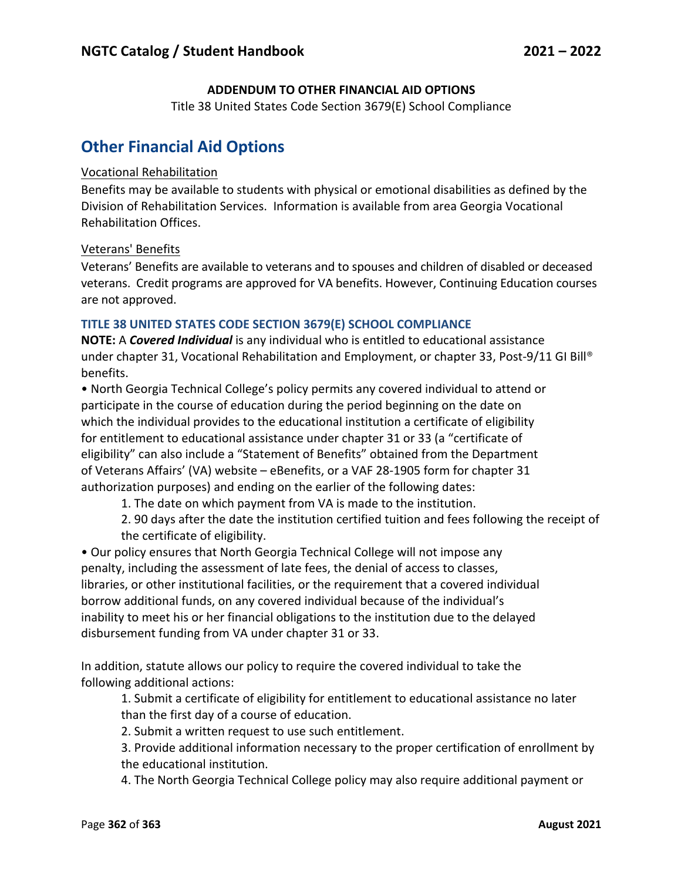## **ADDENDUM TO OTHER FINANCIAL AID OPTIONS**

Title 38 United States Code Section 3679(E) School Compliance

# **Other Financial Aid Options**

#### Vocational Rehabilitation

Benefits may be available to students with physical or emotional disabilities as defined by the Division of Rehabilitation Services. Information is available from area Georgia Vocational Rehabilitation Offices.

#### Veterans' Benefits

Veterans' Benefits are available to veterans and to spouses and children of disabled or deceased veterans. Credit programs are approved for VA benefits. However, Continuing Education courses are not approved.

## **TITLE 38 UNITED STATES CODE SECTION 3679(E) SCHOOL COMPLIANCE**

**NOTE:** A *Covered Individual* is any individual who is entitled to educational assistance under chapter 31, Vocational Rehabilitation and Employment, or chapter 33, Post-9/11 GI Bill® benefits.

• North Georgia Technical College's policy permits any covered individual to attend or participate in the course of education during the period beginning on the date on which the individual provides to the educational institution a certificate of eligibility for entitlement to educational assistance under chapter 31 or 33 (a "certificate of eligibility" can also include a "Statement of Benefits" obtained from the Department of Veterans Affairs' (VA) website – eBenefits, or a VAF 28-1905 form for chapter 31 authorization purposes) and ending on the earlier of the following dates:

1. The date on which payment from VA is made to the institution.

2. 90 days after the date the institution certified tuition and fees following the receipt of the certificate of eligibility.

• Our policy ensures that North Georgia Technical College will not impose any penalty, including the assessment of late fees, the denial of access to classes, libraries, or other institutional facilities, or the requirement that a covered individual borrow additional funds, on any covered individual because of the individual's inability to meet his or her financial obligations to the institution due to the delayed disbursement funding from VA under chapter 31 or 33.

In addition, statute allows our policy to require the covered individual to take the following additional actions:

1. Submit a certificate of eligibility for entitlement to educational assistance no later than the first day of a course of education.

2. Submit a written request to use such entitlement.

3. Provide additional information necessary to the proper certification of enrollment by the educational institution.

4. The North Georgia Technical College policy may also require additional payment or